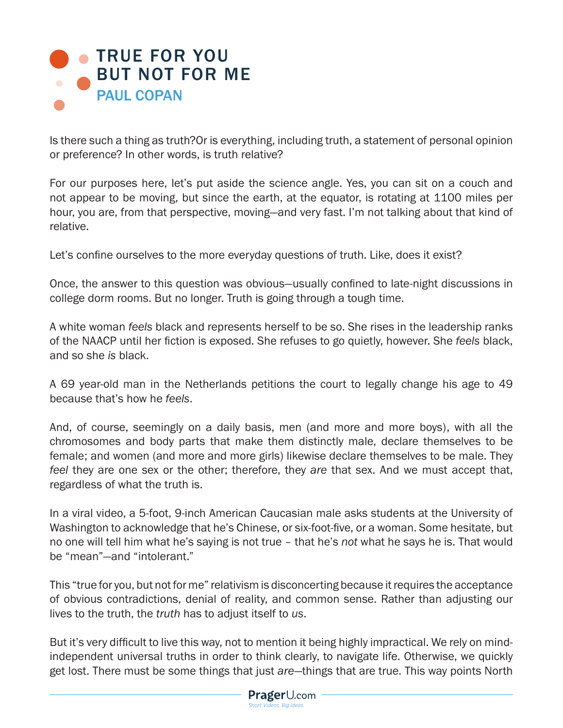## **TRUE FOR YOU** [BUT NOT FOR ME](https://www.prageru.com/video/true-for-you-but-not-for-me) PAUL COPAN

Is there such a thing as truth?Or is everything, including truth, a statement of personal opinion or preference? In other words, is truth relative?

For our purposes here, let's put aside the science angle. Yes, you can sit on a couch and not appear to be moving, but since the earth, at the equator, is rotating at 1100 miles per hour, you are, from that perspective, moving—and very fast. I'm not talking about that kind of relative.

Let's confine ourselves to the more everyday questions of truth. Like, does it exist?

Once, the answer to this question was obvious—usually confined to late-night discussions in college dorm rooms. But no longer. Truth is going through a tough time.

A white woman *feels* black and represents herself to be so. She rises in the leadership ranks of the NAACP until her fiction is exposed. She refuses to go quietly, however. She *feels* black, and so she *is* black.

A 69 year-old man in the Netherlands petitions the court to legally change his age to 49 because that's how he *feels*.

And, of course, seemingly on a daily basis, men (and more and more boys), with all the chromosomes and body parts that make them distinctly male, declare themselves to be female; and women (and more and more girls) likewise declare themselves to be male. They *feel* they are one sex or the other; therefore, they *are* that sex. And we must accept that, regardless of what the truth is.

In a viral video, a 5-foot, 9-inch American Caucasian male asks students at the University of Washington to acknowledge that he's Chinese, or six-foot-five, or a woman. Some hesitate, but no one will tell him what he's saying is not true – that he's *not* what he says he is. That would be "mean"—and "intolerant."

This "true for you, but not for me" relativism is disconcerting because it requires the acceptance of obvious contradictions, denial of reality, and common sense. Rather than adjusting our lives to the truth, the *truth* has to adjust itself to *us*.

But it's very difficult to live this way, not to mention it being highly impractical. We rely on mindindependent universal truths in order to think clearly, to navigate life. Otherwise, we quickly get lost. There must be some things that just *are*—things that are true. This way points North